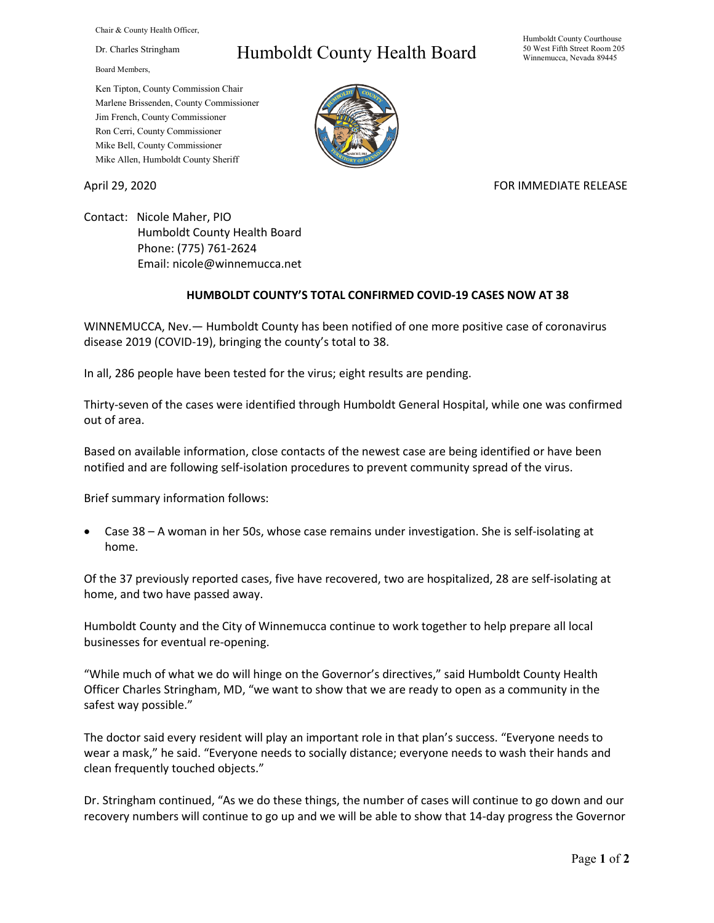Chair & County Health Officer,

Dr. Charles Stringham

Board Members,

## Humboldt County Health Board

Humboldt County Courthouse 50 West Fifth Street Room 205 Winnemucca, Nevada 89445

Ken Tipton, County Commission Chair Marlene Brissenden, County Commissioner Jim French, County Commissioner Ron Cerri, County Commissioner Mike Bell, County Commissioner Mike Allen, Humboldt County Sheriff

April 29, 2020 **FOR IMMEDIATE RELEASE** 

Contact: Nicole Maher, PIO Humboldt County Health Board Phone: (775) 761-2624 Email: nicole@winnemucca.net

## **HUMBOLDT COUNTY'S TOTAL CONFIRMED COVID-19 CASES NOW AT 38**

WINNEMUCCA, Nev.— Humboldt County has been notified of one more positive case of coronavirus disease 2019 (COVID-19), bringing the county's total to 38.

In all, 286 people have been tested for the virus; eight results are pending.

Thirty-seven of the cases were identified through Humboldt General Hospital, while one was confirmed out of area.

Based on available information, close contacts of the newest case are being identified or have been notified and are following self-isolation procedures to prevent community spread of the virus.

Brief summary information follows:

• Case 38 – A woman in her 50s, whose case remains under investigation. She is self-isolating at home.

Of the 37 previously reported cases, five have recovered, two are hospitalized, 28 are self-isolating at home, and two have passed away.

Humboldt County and the City of Winnemucca continue to work together to help prepare all local businesses for eventual re-opening.

"While much of what we do will hinge on the Governor's directives," said Humboldt County Health Officer Charles Stringham, MD, "we want to show that we are ready to open as a community in the safest way possible."

The doctor said every resident will play an important role in that plan's success. "Everyone needs to wear a mask," he said. "Everyone needs to socially distance; everyone needs to wash their hands and clean frequently touched objects."

Dr. Stringham continued, "As we do these things, the number of cases will continue to go down and our recovery numbers will continue to go up and we will be able to show that 14-day progress the Governor